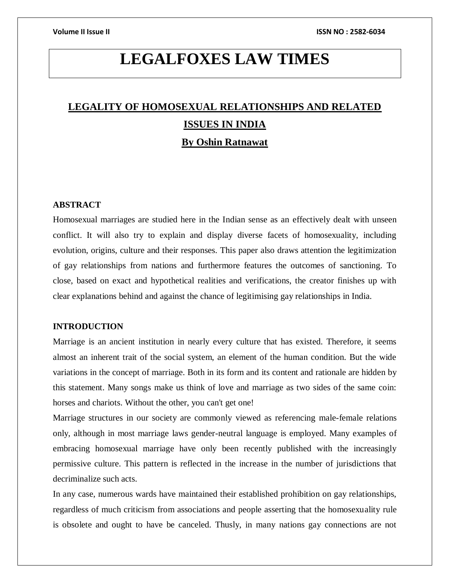# **LEGALFOXES LAW TIMES**

# **LEGALITY OF HOMOSEXUAL RELATIONSHIPS AND RELATED ISSUES IN INDIA By Oshin Ratnawat**

# **ABSTRACT**

Homosexual marriages are studied here in the Indian sense as an effectively dealt with unseen conflict. It will also try to explain and display diverse facets of homosexuality, including evolution, origins, culture and their responses. This paper also draws attention the legitimization of gay relationships from nations and furthermore features the outcomes of sanctioning. To close, based on exact and hypothetical realities and verifications, the creator finishes up with clear explanations behind and against the chance of legitimising gay relationships in India.

### **INTRODUCTION**

Marriage is an ancient institution in nearly every culture that has existed. Therefore, it seems almost an inherent trait of the social system, an element of the human condition. But the wide variations in the concept of marriage. Both in its form and its content and rationale are hidden by this statement. Many songs make us think of love and marriage as two sides of the same coin: horses and chariots. Without the other, you can't get one!

Marriage structures in our society are commonly viewed as referencing male-female relations only, although in most marriage laws gender-neutral language is employed. Many examples of embracing homosexual marriage have only been recently published with the increasingly permissive culture. This pattern is reflected in the increase in the number of jurisdictions that decriminalize such acts.

In any case, numerous wards have maintained their established prohibition on gay relationships, regardless of much criticism from associations and people asserting that the homosexuality rule is obsolete and ought to have be canceled. Thusly, in many nations gay connections are not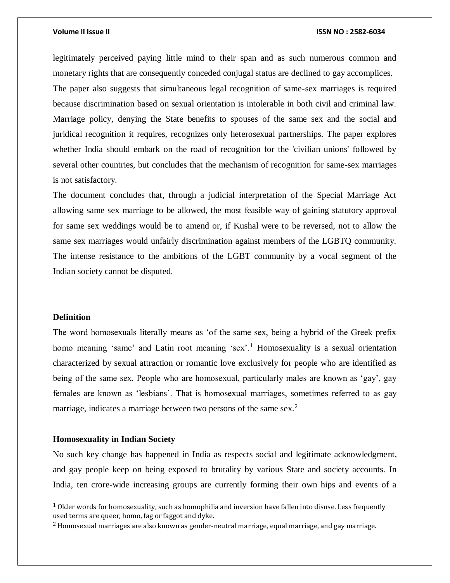legitimately perceived paying little mind to their span and as such numerous common and monetary rights that are consequently conceded conjugal status are declined to gay accomplices. The paper also suggests that simultaneous legal recognition of same-sex marriages is required because discrimination based on sexual orientation is intolerable in both civil and criminal law. Marriage policy, denying the State benefits to spouses of the same sex and the social and juridical recognition it requires, recognizes only heterosexual partnerships. The paper explores whether India should embark on the road of recognition for the 'civilian unions' followed by several other countries, but concludes that the mechanism of recognition for same-sex marriages is not satisfactory.

The document concludes that, through a judicial interpretation of the Special Marriage Act allowing same sex marriage to be allowed, the most feasible way of gaining statutory approval for same sex weddings would be to amend or, if Kushal were to be reversed, not to allow the same sex marriages would unfairly discrimination against members of the LGBTQ community. The intense resistance to the ambitions of the LGBT community by a vocal segment of the Indian society cannot be disputed.

### **Definition**

 $\overline{\phantom{a}}$ 

The word homosexuals literally means as 'of the same sex, being a hybrid of the Greek prefix homo meaning 'same' and Latin root meaning 'sex'.<sup>1</sup> Homosexuality is a sexual orientation characterized by sexual attraction or romantic love exclusively for people who are identified as being of the same sex. People who are homosexual, particularly males are known as 'gay', gay females are known as 'lesbians'. That is homosexual marriages, sometimes referred to as gay marriage, indicates a marriage between two persons of the same sex.<sup>2</sup>

### **Homosexuality in Indian Society**

No such key change has happened in India as respects social and legitimate acknowledgment, and gay people keep on being exposed to brutality by various State and society accounts. In India, ten crore-wide increasing groups are currently forming their own hips and events of a

<sup>&</sup>lt;sup>1</sup> Older words for homosexuality, such as homophilia and inversion have fallen into disuse. Less frequently used terms are queer, homo, fag or faggot and dyke.

<sup>2</sup> Homosexual marriages are also known as gender-neutral marriage, equal marriage, and gay marriage.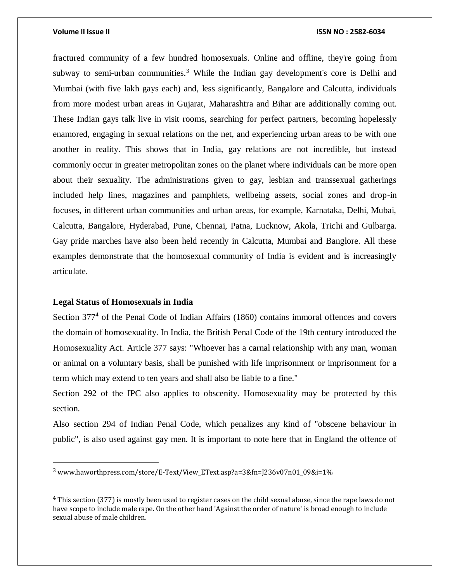fractured community of a few hundred homosexuals. Online and offline, they're going from subway to semi-urban communities.<sup>3</sup> While the Indian gay development's core is Delhi and Mumbai (with five lakh gays each) and, less significantly, Bangalore and Calcutta, individuals from more modest urban areas in Gujarat, Maharashtra and Bihar are additionally coming out. These Indian gays talk live in visit rooms, searching for perfect partners, becoming hopelessly enamored, engaging in sexual relations on the net, and experiencing urban areas to be with one another in reality. This shows that in India, gay relations are not incredible, but instead commonly occur in greater metropolitan zones on the planet where individuals can be more open about their sexuality. The administrations given to gay, lesbian and transsexual gatherings included help lines, magazines and pamphlets, wellbeing assets, social zones and drop-in focuses, in different urban communities and urban areas, for example, Karnataka, Delhi, Mubai, Calcutta, Bangalore, Hyderabad, Pune, Chennai, Patna, Lucknow, Akola, Trichi and Gulbarga. Gay pride marches have also been held recently in Calcutta, Mumbai and Banglore. All these examples demonstrate that the homosexual community of India is evident and is increasingly articulate.

### **Legal Status of Homosexuals in India**

 $\overline{a}$ 

Section 377<sup>4</sup> of the Penal Code of Indian Affairs (1860) contains immoral offences and covers the domain of homosexuality. In India, the British Penal Code of the 19th century introduced the Homosexuality Act. Article 377 says: "Whoever has a carnal relationship with any man, woman or animal on a voluntary basis, shall be punished with life imprisonment or imprisonment for a term which may extend to ten years and shall also be liable to a fine."

Section 292 of the IPC also applies to obscenity. Homosexuality may be protected by this section.

Also section 294 of Indian Penal Code, which penalizes any kind of "obscene behaviour in public", is also used against gay men. It is important to note here that in England the offence of

<sup>3</sup> www.haworthpress.com/store/E-Text/View\_EText.asp?a=3&fn=J236v07n01\_09&i=1%

<sup>4</sup> This section (377) is mostly been used to register cases on the child sexual abuse, since the rape laws do not have scope to include male rape. On the other hand 'Against the order of nature' is broad enough to include sexual abuse of male children.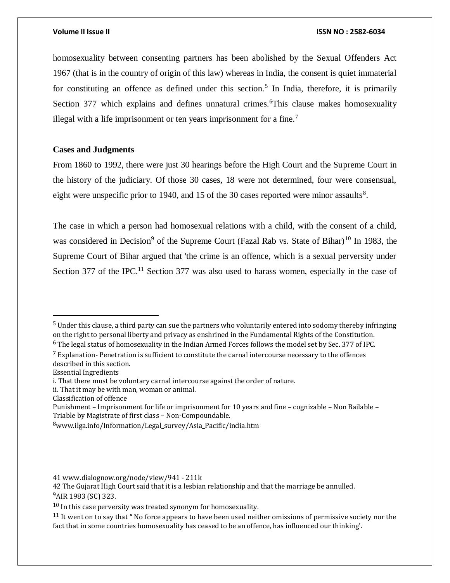homosexuality between consenting partners has been abolished by the Sexual Offenders Act 1967 (that is in the country of origin of this law) whereas in India, the consent is quiet immaterial for constituting an offence as defined under this section.<sup>5</sup> In India, therefore, it is primarily Section 377 which explains and defines unnatural crimes.<sup>6</sup>This clause makes homosexuality illegal with a life imprisonment or ten years imprisonment for a fine.<sup>7</sup>

# **Cases and Judgments**

From 1860 to 1992, there were just 30 hearings before the High Court and the Supreme Court in the history of the judiciary. Of those 30 cases, 18 were not determined, four were consensual, eight were unspecific prior to 1940, and 15 of the 30 cases reported were minor assaults<sup>8</sup>.

The case in which a person had homosexual relations with a child, with the consent of a child, was considered in Decision<sup>9</sup> of the Supreme Court (Fazal Rab vs. State of Bihar)<sup>10</sup> In 1983, the Supreme Court of Bihar argued that 'the crime is an offence, which is a sexual perversity under Section 377 of the IPC.<sup>11</sup> Section 377 was also used to harass women, especially in the case of

Essential Ingredients

 $\overline{a}$ 

ii. That it may be with man, woman or animal.

<sup>5</sup> Under this clause, a third party can sue the partners who voluntarily entered into sodomy thereby infringing on the right to personal liberty and privacy as enshrined in the Fundamental Rights of the Constitution.

<sup>6</sup> The legal status of homosexuality in the Indian Armed Forces follows the model set by Sec. 377 of IPC.

 $<sup>7</sup>$  Explanation- Penetration is sufficient to constitute the carnal intercourse necessary to the offences</sup> described in this section.

i. That there must be voluntary carnal intercourse against the order of nature.

Classification of offence

Punishment – Imprisonment for life or imprisonment for 10 years and fine – cognizable – Non Bailable – Triable by Magistrate of first class – Non-Compoundable.

<sup>8</sup>www.ilga.info/Information/Legal survey/Asia Pacific/india.htm

<sup>41</sup> www.dialognow.org/node/view/941 - 211k

<sup>42</sup> The Gujarat High Court said that it is a lesbian relationship and that the marriage be annulled. <sup>9</sup>AIR 1983 (SC) 323.

 $10$  In this case perversity was treated synonym for homosexuality.

<sup>&</sup>lt;sup>11</sup> It went on to say that " No force appears to have been used neither omissions of permissive society nor the fact that in some countries homosexuality has ceased to be an offence, has influenced our thinking'.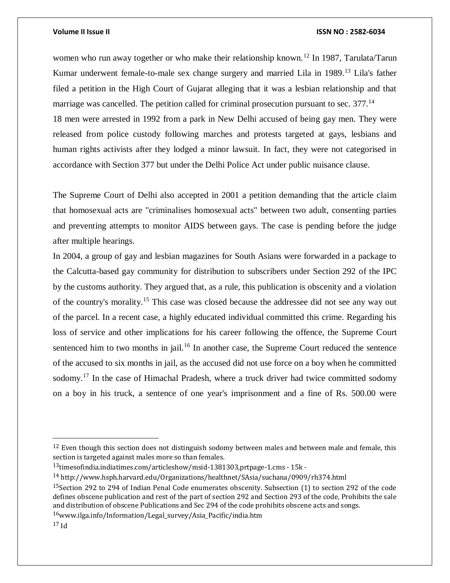women who run away together or who make their relationship known.<sup>12</sup> In 1987, Tarulata/Tarun Kumar underwent female-to-male sex change surgery and married Lila in 1989.<sup>13</sup> Lila's father filed a petition in the High Court of Gujarat alleging that it was a lesbian relationship and that marriage was cancelled. The petition called for criminal prosecution pursuant to sec. 377.<sup>14</sup> 18 men were arrested in 1992 from a park in New Delhi accused of being gay men. They were

released from police custody following marches and protests targeted at gays, lesbians and human rights activists after they lodged a minor lawsuit. In fact, they were not categorised in accordance with Section 377 but under the Delhi Police Act under public nuisance clause.

The Supreme Court of Delhi also accepted in 2001 a petition demanding that the article claim that homosexual acts are "criminalises homosexual acts" between two adult, consenting parties and preventing attempts to monitor AIDS between gays. The case is pending before the judge after multiple hearings.

In 2004, a group of gay and lesbian magazines for South Asians were forwarded in a package to the Calcutta-based gay community for distribution to subscribers under Section 292 of the IPC by the customs authority. They argued that, as a rule, this publication is obscenity and a violation of the country's morality.<sup>15</sup> This case was closed because the addressee did not see any way out of the parcel. In a recent case, a highly educated individual committed this crime. Regarding his loss of service and other implications for his career following the offence, the Supreme Court sentenced him to two months in jail.<sup>16</sup> In another case, the Supreme Court reduced the sentence of the accused to six months in jail, as the accused did not use force on a boy when he committed sodomy.<sup>17</sup> In the case of Himachal Pradesh, where a truck driver had twice committed sodomy on a boy in his truck, a sentence of one year's imprisonment and a fine of Rs. 500.00 were

 $\overline{a}$ 

 $12$  Even though this section does not distinguish sodomy between males and between male and female, this section is targeted against males more so than females.

<sup>13</sup>timesofindia.indiatimes.com/articleshow/msid-1381303,prtpage-1.cms - 15k -

<sup>14</sup> http://www.hsph.harvard.edu/Organizations/healthnet/SAsia/suchana/0909/rh374.html

<sup>15</sup>Section 292 to 294 of Indian Penal Code enumerates obscenity. Subsection (1) to section 292 of the code defines obscene publication and rest of the part of section 292 and Section 293 of the code, Prohibits the sale and distribution of obscene Publications and Sec 294 of the code prohibits obscene acts and songs.

 $16$ www.ilga.info/Information/Legal\_survey/Asia\_Pacific/india.htm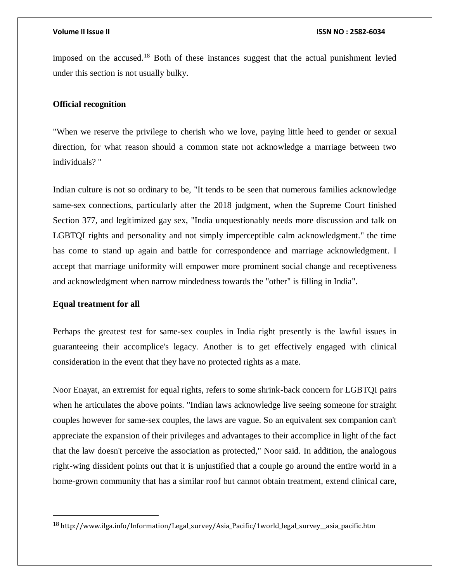imposed on the accused.<sup>18</sup> Both of these instances suggest that the actual punishment levied under this section is not usually bulky.

## **Official recognition**

"When we reserve the privilege to cherish who we love, paying little heed to gender or sexual direction, for what reason should a common state not acknowledge a marriage between two individuals? "

Indian culture is not so ordinary to be, "It tends to be seen that numerous families acknowledge same-sex connections, particularly after the 2018 judgment, when the Supreme Court finished Section 377, and legitimized gay sex, "India unquestionably needs more discussion and talk on LGBTQI rights and personality and not simply imperceptible calm acknowledgment." the time has come to stand up again and battle for correspondence and marriage acknowledgment. I accept that marriage uniformity will empower more prominent social change and receptiveness and acknowledgment when narrow mindedness towards the "other" is filling in India".

# **Equal treatment for all**

 $\overline{a}$ 

Perhaps the greatest test for same-sex couples in India right presently is the lawful issues in guaranteeing their accomplice's legacy. Another is to get effectively engaged with clinical consideration in the event that they have no protected rights as a mate.

Noor Enayat, an extremist for equal rights, refers to some shrink-back concern for LGBTQI pairs when he articulates the above points. "Indian laws acknowledge live seeing someone for straight couples however for same-sex couples, the laws are vague. So an equivalent sex companion can't appreciate the expansion of their privileges and advantages to their accomplice in light of the fact that the law doesn't perceive the association as protected," Noor said. In addition, the analogous right-wing dissident points out that it is unjustified that a couple go around the entire world in a home-grown community that has a similar roof but cannot obtain treatment, extend clinical care,

<sup>18</sup> http://www.ilga.info/Information/Legal\_survey/Asia\_Pacific/1world\_legal\_survey\_\_asia\_pacific.htm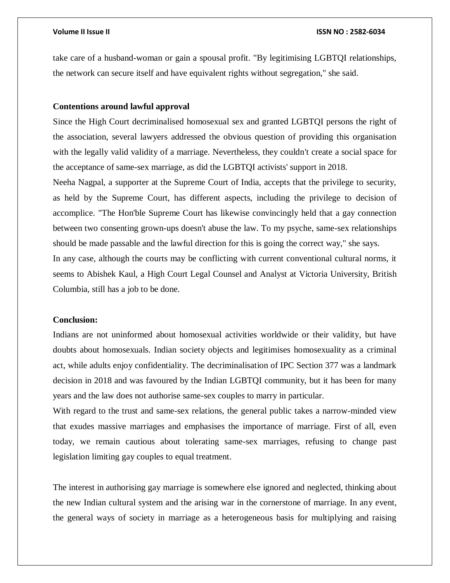take care of a husband-woman or gain a spousal profit. "By legitimising LGBTQI relationships, the network can secure itself and have equivalent rights without segregation," she said.

# **Contentions around lawful approval**

Since the High Court decriminalised homosexual sex and granted LGBTQI persons the right of the association, several lawyers addressed the obvious question of providing this organisation with the legally valid validity of a marriage. Nevertheless, they couldn't create a social space for the acceptance of same-sex marriage, as did the LGBTQI activists' support in 2018.

Neeha Nagpal, a supporter at the Supreme Court of India, accepts that the privilege to security, as held by the Supreme Court, has different aspects, including the privilege to decision of accomplice. "The Hon'ble Supreme Court has likewise convincingly held that a gay connection between two consenting grown-ups doesn't abuse the law. To my psyche, same-sex relationships should be made passable and the lawful direction for this is going the correct way," she says. In any case, although the courts may be conflicting with current conventional cultural norms, it seems to Abishek Kaul, a High Court Legal Counsel and Analyst at Victoria University, British

Columbia, still has a job to be done.

## **Conclusion:**

Indians are not uninformed about homosexual activities worldwide or their validity, but have doubts about homosexuals. Indian society objects and legitimises homosexuality as a criminal act, while adults enjoy confidentiality. The decriminalisation of IPC Section 377 was a landmark decision in 2018 and was favoured by the Indian LGBTQI community, but it has been for many years and the law does not authorise same-sex couples to marry in particular.

With regard to the trust and same-sex relations, the general public takes a narrow-minded view that exudes massive marriages and emphasises the importance of marriage. First of all, even today, we remain cautious about tolerating same-sex marriages, refusing to change past legislation limiting gay couples to equal treatment.

The interest in authorising gay marriage is somewhere else ignored and neglected, thinking about the new Indian cultural system and the arising war in the cornerstone of marriage. In any event, the general ways of society in marriage as a heterogeneous basis for multiplying and raising